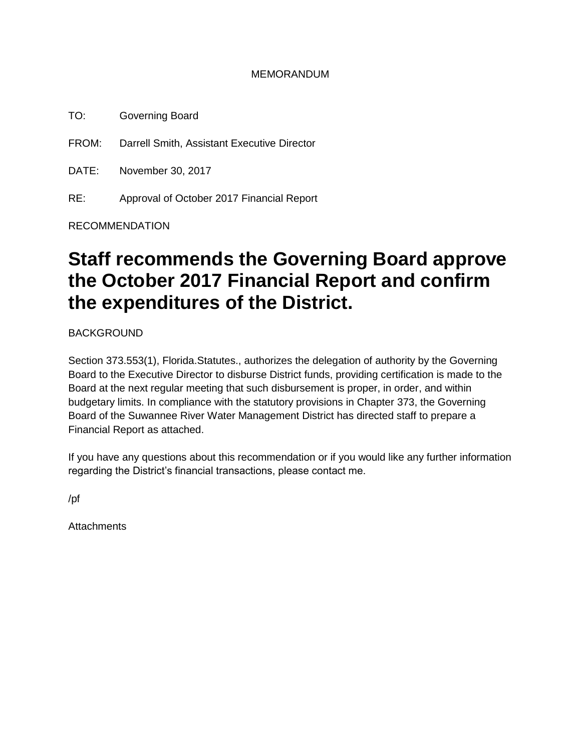### MEMORANDUM

TO: Governing Board

FROM: Darrell Smith, Assistant Executive Director

DATE: November 30, 2017

RE: Approval of October 2017 Financial Report

RECOMMENDATION

# **Staff recommends the Governing Board approve the October 2017 Financial Report and confirm the expenditures of the District.**

BACKGROUND

Section 373.553(1), Florida.Statutes., authorizes the delegation of authority by the Governing Board to the Executive Director to disburse District funds, providing certification is made to the Board at the next regular meeting that such disbursement is proper, in order, and within budgetary limits. In compliance with the statutory provisions in Chapter 373, the Governing Board of the Suwannee River Water Management District has directed staff to prepare a Financial Report as attached.

If you have any questions about this recommendation or if you would like any further information regarding the District's financial transactions, please contact me.

/pf

**Attachments**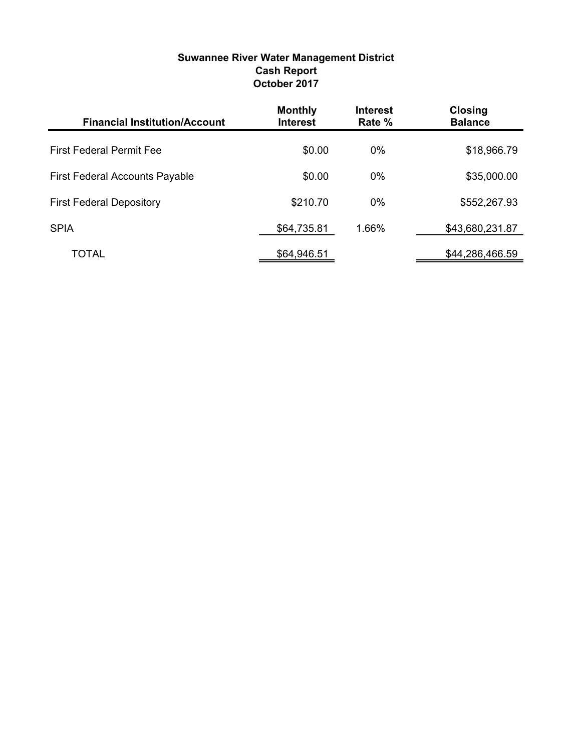| <b>Suwannee River Water Management District</b> |
|-------------------------------------------------|
| <b>Cash Report</b>                              |
| October 2017                                    |

| <b>Financial Institution/Account</b>  | <b>Monthly</b><br><b>Interest</b> | <b>Interest</b><br>Rate % | <b>Closing</b><br><b>Balance</b> |
|---------------------------------------|-----------------------------------|---------------------------|----------------------------------|
| <b>First Federal Permit Fee</b>       | \$0.00                            | $0\%$                     | \$18,966.79                      |
| <b>First Federal Accounts Payable</b> | \$0.00                            | $0\%$                     | \$35,000.00                      |
| <b>First Federal Depository</b>       | \$210.70                          | $0\%$                     | \$552,267.93                     |
| <b>SPIA</b>                           | \$64,735.81                       | 1.66%                     | \$43,680,231.87                  |
| TOTAL                                 | \$64,946.51                       |                           | \$44,286,466.59                  |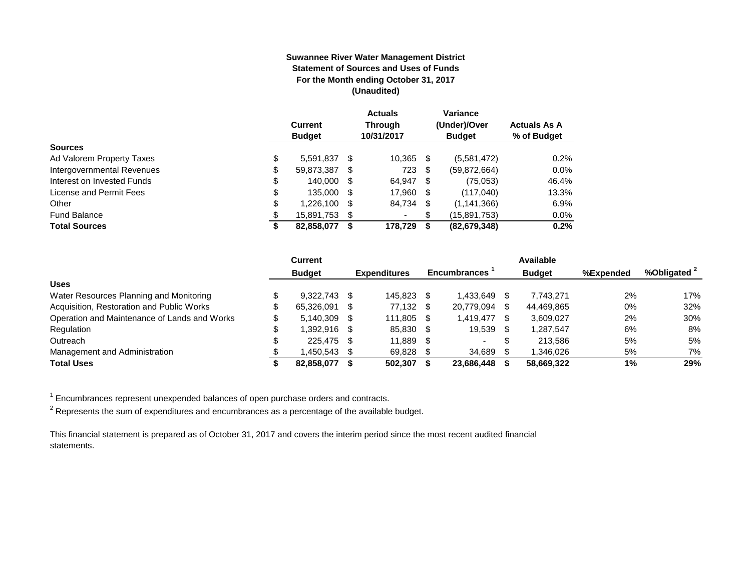#### **Suwannee River Water Management District Statement of Sources and Uses of Funds For the Month ending October 31, 2017 (Unaudited)**

|                            | <b>Current</b><br><b>Budget</b> |     | <b>Actuals</b><br><b>Through</b><br>10/31/2017 |   | Variance<br>(Under)/Over<br><b>Budget</b> | <b>Actuals As A</b><br>% of Budget |
|----------------------------|---------------------------------|-----|------------------------------------------------|---|-------------------------------------------|------------------------------------|
| <b>Sources</b>             |                                 |     |                                                |   |                                           |                                    |
| Ad Valorem Property Taxes  | \$<br>5.591.837                 | \$. | 10,365                                         | S | (5,581,472)                               | 0.2%                               |
| Intergovernmental Revenues | \$<br>59,873,387                | S   | 723                                            | S | (59, 872, 664)                            | $0.0\%$                            |
| Interest on Invested Funds | \$<br>140.000                   | \$. | 64.947 \$                                      |   | (75,053)                                  | 46.4%                              |
| License and Permit Fees    | \$<br>135,000                   |     | 17,960 \$                                      |   | (117,040)                                 | 13.3%                              |
| Other                      | \$<br>1,226,100                 | S   | 84,734 \$                                      |   | (1, 141, 366)                             | 6.9%                               |
| <b>Fund Balance</b>        | \$<br>15,891,753                | S   | ۰                                              | S | (15,891,753)                              | $0.0\%$                            |
| <b>Total Sources</b>       | \$<br>82,858,077                |     | 178.729                                        | 5 | (82, 679, 348)                            | 0.2%                               |

|                                              | <b>Current</b> |      |                     |      |                          |     | Available     |           |              |
|----------------------------------------------|----------------|------|---------------------|------|--------------------------|-----|---------------|-----------|--------------|
|                                              | <b>Budget</b>  |      | <b>Expenditures</b> |      | <b>Encumbrances</b>      |     | <b>Budget</b> | %Expended | %Obligated 2 |
| <b>Uses</b>                                  |                |      |                     |      |                          |     |               |           |              |
| Water Resources Planning and Monitoring      | 9.322.743      | - \$ | 145.823             |      | 1.433.649                |     | 7.743.271     | 2%        | 17%          |
| Acquisition, Restoration and Public Works    | 65,326,091     | - \$ | 77,132              | - \$ | 20,779,094               | -SS | 44,469,865    | 0%        | 32%          |
| Operation and Maintenance of Lands and Works | 5.140.309      | - \$ | 111.805             | - \$ | 1.419.477                | \$. | 3,609,027     | 2%        | 30%          |
| Regulation                                   | 1.392.916 \$   |      | 85,830              | - \$ | 19,539                   |     | 1.287.547     | 6%        | 8%           |
| Outreach                                     | 225.475 \$     |      | 11.889              | - \$ | $\overline{\phantom{0}}$ |     | 213.586       | 5%        | 5%           |
| Management and Administration                | 1.450.543      |      | 69,828              |      | 34,689                   |     | 1.346.026     | 5%        | 7%           |
| <b>Total Uses</b>                            | 82,858,077     |      | 502.307             |      | 23.686.448               |     | 58.669.322    | 1%        | 29%          |

 $1$  Encumbrances represent unexpended balances of open purchase orders and contracts.

 $^2$  Represents the sum of expenditures and encumbrances as a percentage of the available budget.

This financial statement is prepared as of October 31, 2017 and covers the interim period since the most recent audited financial statements.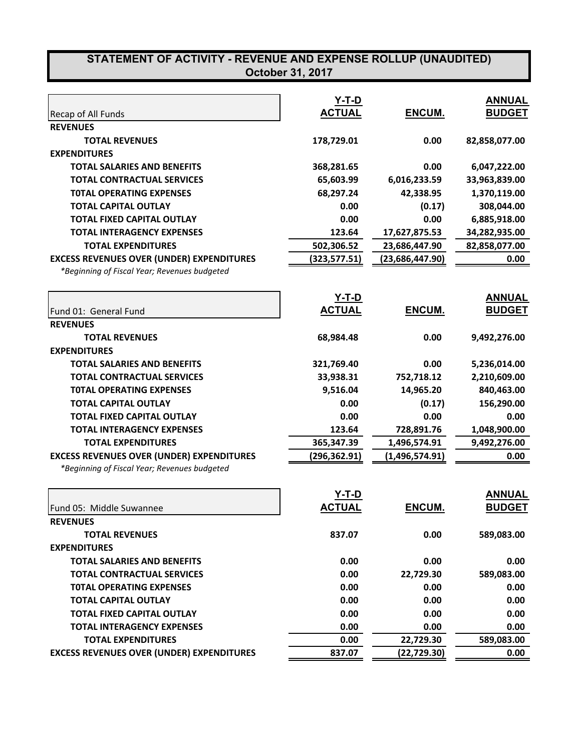|                                                  | Y-T-D         |                 | <b>ANNUAL</b> |
|--------------------------------------------------|---------------|-----------------|---------------|
| Recap of All Funds                               | <b>ACTUAL</b> | ENCUM.          | <b>BUDGET</b> |
| <b>REVENUES</b>                                  |               |                 |               |
| <b>TOTAL REVENUES</b>                            | 178,729.01    | 0.00            | 82,858,077.00 |
| <b>EXPENDITURES</b>                              |               |                 |               |
| <b>TOTAL SALARIES AND BENEFITS</b>               | 368,281.65    | 0.00            | 6,047,222.00  |
| <b>TOTAL CONTRACTUAL SERVICES</b>                | 65,603.99     | 6,016,233.59    | 33,963,839.00 |
| <b>TOTAL OPERATING EXPENSES</b>                  | 68,297.24     | 42,338.95       | 1,370,119.00  |
| <b>TOTAL CAPITAL OUTLAY</b>                      | 0.00          | (0.17)          | 308,044.00    |
| <b>TOTAL FIXED CAPITAL OUTLAY</b>                | 0.00          | 0.00            | 6,885,918.00  |
| <b>TOTAL INTERAGENCY EXPENSES</b>                | 123.64        | 17,627,875.53   | 34,282,935.00 |
| <b>TOTAL EXPENDITURES</b>                        | 502,306.52    | 23,686,447.90   | 82,858,077.00 |
| <b>EXCESS REVENUES OVER (UNDER) EXPENDITURES</b> | (323,577.51)  | (23,686,447.90) | 0.00          |
| *Beginning of Fiscal Year; Revenues budgeted     |               |                 |               |
|                                                  | <u>Y-T-D</u>  |                 | <b>ANNUAL</b> |
| Fund 01: General Fund                            | <b>ACTUAL</b> | ENCUM.          | <b>BUDGET</b> |
| <b>REVENUES</b>                                  |               |                 |               |
| <b>TOTAL REVENUES</b>                            | 68,984.48     | 0.00            | 9,492,276.00  |
| <b>EXPENDITURES</b>                              |               |                 |               |
| <b>TOTAL SALARIES AND BENEFITS</b>               | 321,769.40    | 0.00            | 5,236,014.00  |
| <b>TOTAL CONTRACTUAL SERVICES</b>                | 33,938.31     | 752,718.12      | 2,210,609.00  |
| <b>TOTAL OPERATING EXPENSES</b>                  | 9,516.04      | 14,965.20       | 840,463.00    |
| <b>TOTAL CAPITAL OUTLAY</b>                      | 0.00          | (0.17)          | 156,290.00    |
| <b>TOTAL FIXED CAPITAL OUTLAY</b>                | 0.00          | 0.00            | 0.00          |
| <b>TOTAL INTERAGENCY EXPENSES</b>                | 123.64        | 728,891.76      | 1,048,900.00  |
| <b>TOTAL EXPENDITURES</b>                        | 365,347.39    | 1,496,574.91    | 9,492,276.00  |
| <b>EXCESS REVENUES OVER (UNDER) EXPENDITURES</b> | (296,362.91)  | (1,496,574.91)  | 0.00          |
| *Beginning of Fiscal Year; Revenues budgeted     |               |                 |               |
|                                                  | $Y-T-D$       |                 | <b>ANNUAL</b> |
| Fund 05: Middle Suwannee                         | <b>ACTUAL</b> | ENCUM.          | <b>BUDGET</b> |
| <b>REVENUES</b>                                  |               |                 |               |
| <b>TOTAL REVENUES</b>                            | 837.07        | 0.00            | 589,083.00    |
| <b>EXPENDITURES</b>                              |               |                 |               |
| <b>TOTAL SALARIES AND BENEFITS</b>               | 0.00          | 0.00            | 0.00          |
| <b>TOTAL CONTRACTUAL SERVICES</b>                | 0.00          | 22,729.30       | 589,083.00    |
| <b>TOTAL OPERATING EXPENSES</b>                  | 0.00          | 0.00            | 0.00          |
| <b>TOTAL CAPITAL OUTLAY</b>                      | 0.00          | 0.00            | 0.00          |
| <b>TOTAL FIXED CAPITAL OUTLAY</b>                | 0.00          | 0.00            | 0.00          |
| <b>TOTAL INTERAGENCY EXPENSES</b>                | 0.00          | 0.00            | 0.00          |
| <b>TOTAL EXPENDITURES</b>                        | 0.00          | 22,729.30       | 589,083.00    |
| <b>EXCESS REVENUES OVER (UNDER) EXPENDITURES</b> | 837.07        | (22, 729.30)    | 0.00          |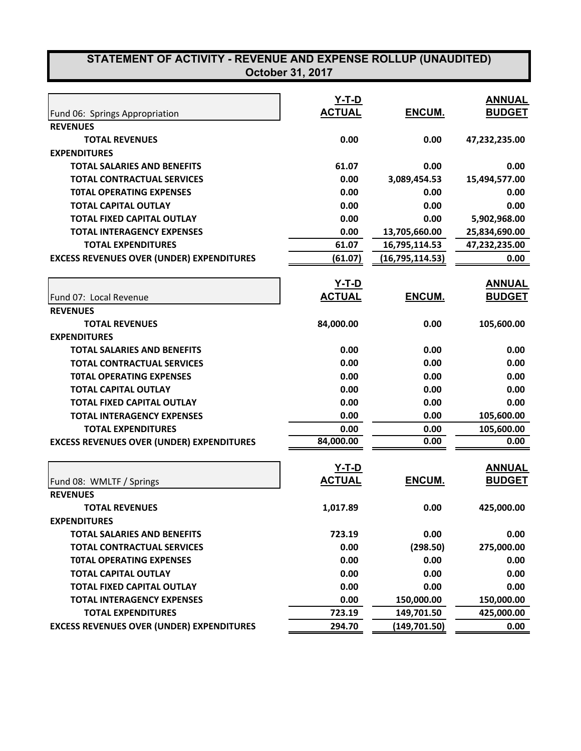| <b>October 31, 2017</b> |  |
|-------------------------|--|
|-------------------------|--|

|                                                  | <u>Y-T-D</u>  |                   | <b>ANNUAL</b> |
|--------------------------------------------------|---------------|-------------------|---------------|
| Fund 06: Springs Appropriation                   | <b>ACTUAL</b> | ENCUM.            | <b>BUDGET</b> |
| <b>REVENUES</b>                                  |               |                   |               |
| <b>TOTAL REVENUES</b>                            | 0.00          | 0.00              | 47,232,235.00 |
| <b>EXPENDITURES</b>                              |               |                   |               |
| <b>TOTAL SALARIES AND BENEFITS</b>               | 61.07         | 0.00              | 0.00          |
| <b>TOTAL CONTRACTUAL SERVICES</b>                | 0.00          | 3,089,454.53      | 15,494,577.00 |
| <b>TOTAL OPERATING EXPENSES</b>                  | 0.00          | 0.00              | 0.00          |
| <b>TOTAL CAPITAL OUTLAY</b>                      | 0.00          | 0.00              | 0.00          |
| <b>TOTAL FIXED CAPITAL OUTLAY</b>                | 0.00          | 0.00              | 5,902,968.00  |
| <b>TOTAL INTERAGENCY EXPENSES</b>                | 0.00          | 13,705,660.00     | 25,834,690.00 |
| <b>TOTAL EXPENDITURES</b>                        | 61.07         | 16,795,114.53     | 47,232,235.00 |
| <b>EXCESS REVENUES OVER (UNDER) EXPENDITURES</b> | (61.07)       | (16, 795, 114.53) | 0.00          |
|                                                  | Y-T-D         |                   | <b>ANNUAL</b> |
| Fund 07: Local Revenue                           | <b>ACTUAL</b> | ENCUM.            | <b>BUDGET</b> |
| <b>REVENUES</b>                                  |               |                   |               |
| <b>TOTAL REVENUES</b>                            | 84,000.00     | 0.00              | 105,600.00    |
| <b>EXPENDITURES</b>                              |               |                   |               |
| <b>TOTAL SALARIES AND BENEFITS</b>               | 0.00          | 0.00              | 0.00          |
| <b>TOTAL CONTRACTUAL SERVICES</b>                | 0.00          | 0.00              | 0.00          |
| <b>TOTAL OPERATING EXPENSES</b>                  | 0.00          | 0.00              | 0.00          |
| <b>TOTAL CAPITAL OUTLAY</b>                      | 0.00          | 0.00              | 0.00          |
| <b>TOTAL FIXED CAPITAL OUTLAY</b>                | 0.00          | 0.00              | 0.00          |
| <b>TOTAL INTERAGENCY EXPENSES</b>                | 0.00          | 0.00              | 105,600.00    |
| <b>TOTAL EXPENDITURES</b>                        | 0.00          | 0.00              | 105,600.00    |
| <b>EXCESS REVENUES OVER (UNDER) EXPENDITURES</b> | 84,000.00     | 0.00              | 0.00          |
|                                                  | <u>Y-T-D</u>  |                   | <b>ANNUAL</b> |
| Fund 08: WMLTF / Springs                         | <b>ACTUAL</b> | ENCUM.            | <b>BUDGET</b> |
| <b>REVENUES</b>                                  |               |                   |               |
| <b>TOTAL REVENUES</b>                            | 1,017.89      | 0.00              | 425,000.00    |
| <b>EXPENDITURES</b>                              |               |                   |               |
| <b>TOTAL SALARIES AND BENEFITS</b>               | 723.19        | 0.00              | 0.00          |
| <b>TOTAL CONTRACTUAL SERVICES</b>                | 0.00          | (298.50)          | 275,000.00    |
| <b>TOTAL OPERATING EXPENSES</b>                  | 0.00          | 0.00              | 0.00          |
| <b>TOTAL CAPITAL OUTLAY</b>                      | 0.00          | 0.00              | 0.00          |
| <b>TOTAL FIXED CAPITAL OUTLAY</b>                | 0.00          | 0.00              | 0.00          |
| <b>TOTAL INTERAGENCY EXPENSES</b>                | 0.00          | 150,000.00        | 150,000.00    |
| <b>TOTAL EXPENDITURES</b>                        | 723.19        | 149,701.50        | 425,000.00    |
| <b>EXCESS REVENUES OVER (UNDER) EXPENDITURES</b> | 294.70        | (149,701.50)      | 0.00          |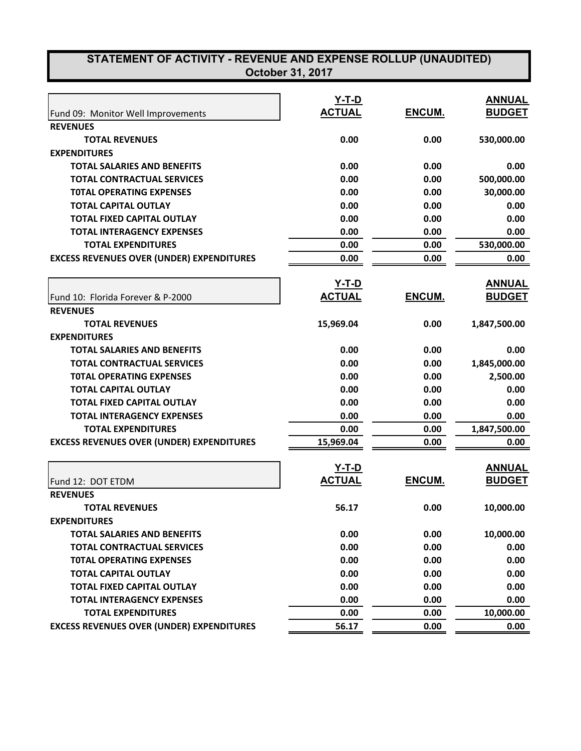|                                                  | $Y-T-D$<br><b>ACTUAL</b>      | ENCUM.       | <b>ANNUAL</b><br><b>BUDGET</b> |
|--------------------------------------------------|-------------------------------|--------------|--------------------------------|
| Fund 09: Monitor Well Improvements               |                               |              |                                |
| <b>REVENUES</b>                                  |                               |              |                                |
| <b>TOTAL REVENUES</b><br><b>EXPENDITURES</b>     | 0.00                          | 0.00         | 530,000.00                     |
| <b>TOTAL SALARIES AND BENEFITS</b>               | 0.00                          | 0.00         | 0.00                           |
| <b>TOTAL CONTRACTUAL SERVICES</b>                | 0.00                          | 0.00         | 500,000.00                     |
| <b>TOTAL OPERATING EXPENSES</b>                  | 0.00                          | 0.00         | 30,000.00                      |
| <b>TOTAL CAPITAL OUTLAY</b>                      | 0.00                          |              |                                |
| <b>TOTAL FIXED CAPITAL OUTLAY</b>                | 0.00                          | 0.00<br>0.00 | 0.00<br>0.00                   |
|                                                  |                               |              |                                |
| <b>TOTAL INTERAGENCY EXPENSES</b>                | 0.00                          | 0.00         | 0.00                           |
| <b>TOTAL EXPENDITURES</b>                        | 0.00                          | 0.00         | 530,000.00                     |
| <b>EXCESS REVENUES OVER (UNDER) EXPENDITURES</b> | 0.00                          | 0.00         | 0.00                           |
|                                                  | <u>Y-T-D</u>                  |              | <b>ANNUAL</b>                  |
| Fund 10: Florida Forever & P-2000                | <b>ACTUAL</b>                 | ENCUM.       | <b>BUDGET</b>                  |
| <b>REVENUES</b>                                  |                               |              |                                |
| <b>TOTAL REVENUES</b>                            | 15,969.04                     | 0.00         | 1,847,500.00                   |
| <b>EXPENDITURES</b>                              |                               |              |                                |
| <b>TOTAL SALARIES AND BENEFITS</b>               | 0.00                          | 0.00         | 0.00                           |
| <b>TOTAL CONTRACTUAL SERVICES</b>                | 0.00                          | 0.00         | 1,845,000.00                   |
| <b>TOTAL OPERATING EXPENSES</b>                  | 0.00                          | 0.00         | 2,500.00                       |
| <b>TOTAL CAPITAL OUTLAY</b>                      | 0.00                          | 0.00         | 0.00                           |
| <b>TOTAL FIXED CAPITAL OUTLAY</b>                | 0.00                          | 0.00         | 0.00                           |
| <b>TOTAL INTERAGENCY EXPENSES</b>                | 0.00                          | 0.00         | 0.00                           |
| <b>TOTAL EXPENDITURES</b>                        | 0.00                          | 0.00         | 1,847,500.00                   |
| <b>EXCESS REVENUES OVER (UNDER) EXPENDITURES</b> | 15,969.04                     | 0.00         | 0.00                           |
|                                                  |                               |              | <b>ANNUAL</b>                  |
|                                                  | <u>Y-T-D</u><br><b>ACTUAL</b> |              |                                |
| Fund 12: DOT ETDM                                |                               | ENCUM.       | <b>BUDGET</b>                  |
| <b>REVENUES</b>                                  |                               |              |                                |
| <b>TOTAL REVENUES</b>                            | 56.17                         | 0.00         | 10,000.00                      |
| <b>EXPENDITURES</b>                              |                               |              |                                |
| <b>TOTAL SALARIES AND BENEFITS</b>               | 0.00                          | 0.00         | 10,000.00                      |
| <b>TOTAL CONTRACTUAL SERVICES</b>                | 0.00                          | 0.00         | 0.00                           |
| <b>TOTAL OPERATING EXPENSES</b>                  | 0.00                          | 0.00         | 0.00                           |
| <b>TOTAL CAPITAL OUTLAY</b>                      | 0.00                          | 0.00         | 0.00                           |
| <b>TOTAL FIXED CAPITAL OUTLAY</b>                | 0.00                          | 0.00         | 0.00                           |
| <b>TOTAL INTERAGENCY EXPENSES</b>                | 0.00                          | 0.00         | 0.00                           |
| <b>TOTAL EXPENDITURES</b>                        | 0.00                          | 0.00         | 10,000.00                      |
| <b>EXCESS REVENUES OVER (UNDER) EXPENDITURES</b> | 56.17                         | 0.00         | 0.00                           |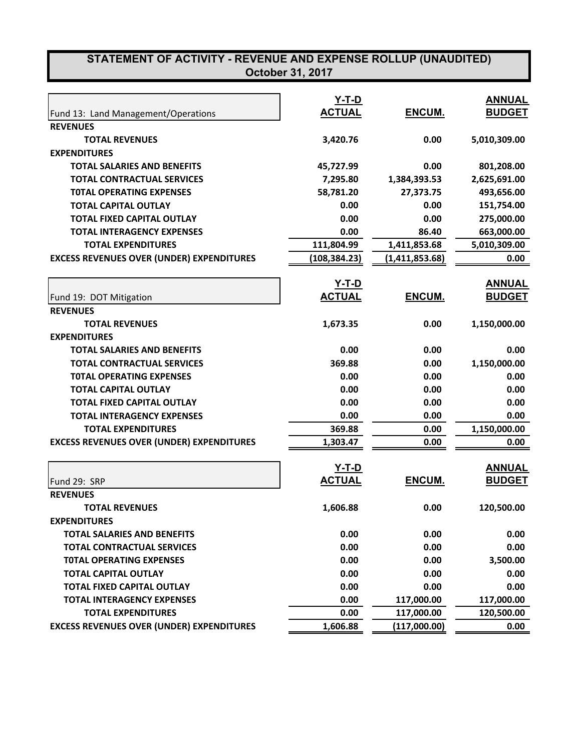|                                                        | $Y-T-D$<br><b>ACTUAL</b> | ENCUM.         | <b>ANNUAL</b><br><b>BUDGET</b> |
|--------------------------------------------------------|--------------------------|----------------|--------------------------------|
| Fund 13: Land Management/Operations<br><b>REVENUES</b> |                          |                |                                |
| <b>TOTAL REVENUES</b>                                  | 3,420.76                 | 0.00           | 5,010,309.00                   |
| <b>EXPENDITURES</b>                                    |                          |                |                                |
| <b>TOTAL SALARIES AND BENEFITS</b>                     | 45,727.99                | 0.00           | 801,208.00                     |
| <b>TOTAL CONTRACTUAL SERVICES</b>                      | 7,295.80                 | 1,384,393.53   | 2,625,691.00                   |
| <b>TOTAL OPERATING EXPENSES</b>                        | 58,781.20                | 27,373.75      | 493,656.00                     |
| <b>TOTAL CAPITAL OUTLAY</b>                            | 0.00                     | 0.00           | 151,754.00                     |
| <b>TOTAL FIXED CAPITAL OUTLAY</b>                      | 0.00                     | 0.00           | 275,000.00                     |
| <b>TOTAL INTERAGENCY EXPENSES</b>                      | 0.00                     | 86.40          | 663,000.00                     |
| <b>TOTAL EXPENDITURES</b>                              |                          |                |                                |
|                                                        | 111,804.99               | 1,411,853.68   | 5,010,309.00                   |
| <b>EXCESS REVENUES OVER (UNDER) EXPENDITURES</b>       | (108, 384.23)            | (1,411,853.68) | 0.00                           |
|                                                        | <u>Y-T-D</u>             |                | <b>ANNUAL</b>                  |
| Fund 19: DOT Mitigation                                | <b>ACTUAL</b>            | ENCUM.         | <b>BUDGET</b>                  |
| <b>REVENUES</b>                                        |                          |                |                                |
| <b>TOTAL REVENUES</b>                                  | 1,673.35                 | 0.00           | 1,150,000.00                   |
| <b>EXPENDITURES</b>                                    |                          |                |                                |
| <b>TOTAL SALARIES AND BENEFITS</b>                     | 0.00                     | 0.00           | 0.00                           |
| <b>TOTAL CONTRACTUAL SERVICES</b>                      | 369.88                   | 0.00           | 1,150,000.00                   |
| <b>TOTAL OPERATING EXPENSES</b>                        | 0.00                     | 0.00           | 0.00                           |
| <b>TOTAL CAPITAL OUTLAY</b>                            | 0.00                     | 0.00           | 0.00                           |
| <b>TOTAL FIXED CAPITAL OUTLAY</b>                      | 0.00                     | 0.00           | 0.00                           |
| <b>TOTAL INTERAGENCY EXPENSES</b>                      | 0.00                     | 0.00           | 0.00                           |
| <b>TOTAL EXPENDITURES</b>                              | 369.88                   | 0.00           | 1,150,000.00                   |
| <b>EXCESS REVENUES OVER (UNDER) EXPENDITURES</b>       | 1,303.47                 | 0.00           | 0.00                           |
|                                                        |                          |                |                                |
|                                                        | <u>Y-T-D</u>             |                | <b>ANNUAL</b>                  |
| Fund 29: SRP                                           | <b>ACTUAL</b>            | ENCUM.         | <b>BUDGET</b>                  |
| <b>REVENUES</b>                                        |                          |                |                                |
| <b>TOTAL REVENUES</b>                                  | 1,606.88                 | 0.00           | 120,500.00                     |
| <b>EXPENDITURES</b>                                    |                          |                |                                |
| <b>TOTAL SALARIES AND BENEFITS</b>                     | 0.00                     | 0.00           | 0.00                           |
| <b>TOTAL CONTRACTUAL SERVICES</b>                      | 0.00                     | 0.00           | 0.00                           |
| <b>TOTAL OPERATING EXPENSES</b>                        | 0.00                     | 0.00           | 3,500.00                       |
| <b>TOTAL CAPITAL OUTLAY</b>                            | 0.00                     | 0.00           | 0.00                           |
| <b>TOTAL FIXED CAPITAL OUTLAY</b>                      | 0.00                     | 0.00           | 0.00                           |
| <b>TOTAL INTERAGENCY EXPENSES</b>                      | 0.00                     | 117,000.00     | 117,000.00                     |
| <b>TOTAL EXPENDITURES</b>                              | 0.00                     | 117,000.00     | 120,500.00                     |
| <b>EXCESS REVENUES OVER (UNDER) EXPENDITURES</b>       | 1,606.88                 | (117,000.00)   | 0.00                           |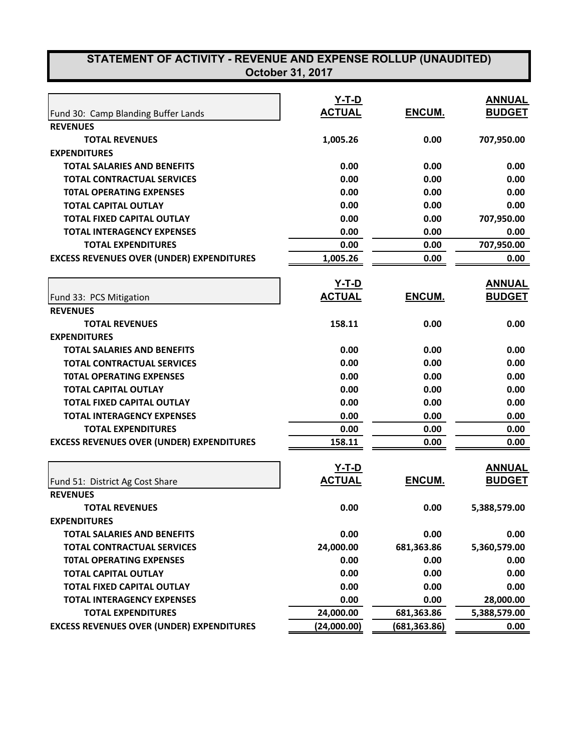| <b>ACTUAL</b><br>ENCUM.<br><b>BUDGET</b><br>Fund 30: Camp Blanding Buffer Lands<br><b>REVENUES</b><br><b>TOTAL REVENUES</b><br>1,005.26<br>0.00<br>707,950.00<br><b>EXPENDITURES</b><br><b>TOTAL SALARIES AND BENEFITS</b><br>0.00<br>0.00<br>0.00<br>0.00<br>0.00<br>0.00<br><b>TOTAL CONTRACTUAL SERVICES</b><br><b>TOTAL OPERATING EXPENSES</b><br>0.00<br>0.00<br>0.00<br><b>TOTAL CAPITAL OUTLAY</b><br>0.00<br>0.00<br>0.00<br><b>TOTAL FIXED CAPITAL OUTLAY</b><br>0.00<br>0.00<br>707,950.00<br>0.00<br>0.00<br><b>TOTAL INTERAGENCY EXPENSES</b><br>0.00<br><b>TOTAL EXPENDITURES</b><br>707,950.00<br>0.00<br>0.00<br><b>EXCESS REVENUES OVER (UNDER) EXPENDITURES</b><br>1,005.26<br>0.00<br>0.00<br><u>Y-T-D</u><br><b>ANNUAL</b><br><b>ACTUAL</b><br>ENCUM.<br><b>BUDGET</b><br>Fund 33: PCS Mitigation<br><b>REVENUES</b><br><b>TOTAL REVENUES</b><br>158.11<br>0.00<br>0.00<br><b>EXPENDITURES</b><br>0.00<br>0.00<br>0.00<br><b>TOTAL SALARIES AND BENEFITS</b><br>0.00<br>0.00<br>0.00<br><b>TOTAL CONTRACTUAL SERVICES</b><br><b>TOTAL OPERATING EXPENSES</b><br>0.00<br>0.00<br>0.00<br><b>TOTAL CAPITAL OUTLAY</b><br>0.00<br>0.00<br>0.00<br><b>TOTAL FIXED CAPITAL OUTLAY</b><br>0.00<br>0.00<br>0.00<br><b>TOTAL INTERAGENCY EXPENSES</b><br>0.00<br>0.00<br>0.00<br>0.00<br>0.00<br>0.00<br><b>TOTAL EXPENDITURES</b><br><b>EXCESS REVENUES OVER (UNDER) EXPENDITURES</b><br>158.11<br>0.00<br>0.00<br><u>Y-T-D</u><br><b>ANNUAL</b><br><b>ACTUAL</b><br>ENCUM.<br><b>BUDGET</b><br>Fund 51: District Ag Cost Share<br><b>REVENUES</b><br>0.00<br>0.00<br><b>TOTAL REVENUES</b><br>5,388,579.00<br><b>EXPENDITURES</b><br><b>TOTAL SALARIES AND BENEFITS</b><br>0.00<br>0.00<br>0.00<br>24,000.00<br><b>TOTAL CONTRACTUAL SERVICES</b><br>681,363.86<br>5,360,579.00<br>0.00<br>0.00<br><b>TOTAL OPERATING EXPENSES</b><br>0.00<br><b>TOTAL CAPITAL OUTLAY</b><br>0.00<br>0.00<br>0.00<br><b>TOTAL FIXED CAPITAL OUTLAY</b><br>0.00<br>0.00<br>0.00<br>0.00<br>0.00<br>28,000.00<br><b>TOTAL INTERAGENCY EXPENSES</b> |                           | Y-T-D     |            | <b>ANNUAL</b> |
|-----------------------------------------------------------------------------------------------------------------------------------------------------------------------------------------------------------------------------------------------------------------------------------------------------------------------------------------------------------------------------------------------------------------------------------------------------------------------------------------------------------------------------------------------------------------------------------------------------------------------------------------------------------------------------------------------------------------------------------------------------------------------------------------------------------------------------------------------------------------------------------------------------------------------------------------------------------------------------------------------------------------------------------------------------------------------------------------------------------------------------------------------------------------------------------------------------------------------------------------------------------------------------------------------------------------------------------------------------------------------------------------------------------------------------------------------------------------------------------------------------------------------------------------------------------------------------------------------------------------------------------------------------------------------------------------------------------------------------------------------------------------------------------------------------------------------------------------------------------------------------------------------------------------------------------------------------------------------------------------------------------------------------------------------|---------------------------|-----------|------------|---------------|
|                                                                                                                                                                                                                                                                                                                                                                                                                                                                                                                                                                                                                                                                                                                                                                                                                                                                                                                                                                                                                                                                                                                                                                                                                                                                                                                                                                                                                                                                                                                                                                                                                                                                                                                                                                                                                                                                                                                                                                                                                                               |                           |           |            |               |
|                                                                                                                                                                                                                                                                                                                                                                                                                                                                                                                                                                                                                                                                                                                                                                                                                                                                                                                                                                                                                                                                                                                                                                                                                                                                                                                                                                                                                                                                                                                                                                                                                                                                                                                                                                                                                                                                                                                                                                                                                                               |                           |           |            |               |
|                                                                                                                                                                                                                                                                                                                                                                                                                                                                                                                                                                                                                                                                                                                                                                                                                                                                                                                                                                                                                                                                                                                                                                                                                                                                                                                                                                                                                                                                                                                                                                                                                                                                                                                                                                                                                                                                                                                                                                                                                                               |                           |           |            |               |
|                                                                                                                                                                                                                                                                                                                                                                                                                                                                                                                                                                                                                                                                                                                                                                                                                                                                                                                                                                                                                                                                                                                                                                                                                                                                                                                                                                                                                                                                                                                                                                                                                                                                                                                                                                                                                                                                                                                                                                                                                                               |                           |           |            |               |
|                                                                                                                                                                                                                                                                                                                                                                                                                                                                                                                                                                                                                                                                                                                                                                                                                                                                                                                                                                                                                                                                                                                                                                                                                                                                                                                                                                                                                                                                                                                                                                                                                                                                                                                                                                                                                                                                                                                                                                                                                                               |                           |           |            |               |
|                                                                                                                                                                                                                                                                                                                                                                                                                                                                                                                                                                                                                                                                                                                                                                                                                                                                                                                                                                                                                                                                                                                                                                                                                                                                                                                                                                                                                                                                                                                                                                                                                                                                                                                                                                                                                                                                                                                                                                                                                                               |                           |           |            |               |
|                                                                                                                                                                                                                                                                                                                                                                                                                                                                                                                                                                                                                                                                                                                                                                                                                                                                                                                                                                                                                                                                                                                                                                                                                                                                                                                                                                                                                                                                                                                                                                                                                                                                                                                                                                                                                                                                                                                                                                                                                                               |                           |           |            |               |
|                                                                                                                                                                                                                                                                                                                                                                                                                                                                                                                                                                                                                                                                                                                                                                                                                                                                                                                                                                                                                                                                                                                                                                                                                                                                                                                                                                                                                                                                                                                                                                                                                                                                                                                                                                                                                                                                                                                                                                                                                                               |                           |           |            |               |
|                                                                                                                                                                                                                                                                                                                                                                                                                                                                                                                                                                                                                                                                                                                                                                                                                                                                                                                                                                                                                                                                                                                                                                                                                                                                                                                                                                                                                                                                                                                                                                                                                                                                                                                                                                                                                                                                                                                                                                                                                                               |                           |           |            |               |
|                                                                                                                                                                                                                                                                                                                                                                                                                                                                                                                                                                                                                                                                                                                                                                                                                                                                                                                                                                                                                                                                                                                                                                                                                                                                                                                                                                                                                                                                                                                                                                                                                                                                                                                                                                                                                                                                                                                                                                                                                                               |                           |           |            |               |
|                                                                                                                                                                                                                                                                                                                                                                                                                                                                                                                                                                                                                                                                                                                                                                                                                                                                                                                                                                                                                                                                                                                                                                                                                                                                                                                                                                                                                                                                                                                                                                                                                                                                                                                                                                                                                                                                                                                                                                                                                                               |                           |           |            |               |
|                                                                                                                                                                                                                                                                                                                                                                                                                                                                                                                                                                                                                                                                                                                                                                                                                                                                                                                                                                                                                                                                                                                                                                                                                                                                                                                                                                                                                                                                                                                                                                                                                                                                                                                                                                                                                                                                                                                                                                                                                                               |                           |           |            |               |
|                                                                                                                                                                                                                                                                                                                                                                                                                                                                                                                                                                                                                                                                                                                                                                                                                                                                                                                                                                                                                                                                                                                                                                                                                                                                                                                                                                                                                                                                                                                                                                                                                                                                                                                                                                                                                                                                                                                                                                                                                                               |                           |           |            |               |
|                                                                                                                                                                                                                                                                                                                                                                                                                                                                                                                                                                                                                                                                                                                                                                                                                                                                                                                                                                                                                                                                                                                                                                                                                                                                                                                                                                                                                                                                                                                                                                                                                                                                                                                                                                                                                                                                                                                                                                                                                                               |                           |           |            |               |
|                                                                                                                                                                                                                                                                                                                                                                                                                                                                                                                                                                                                                                                                                                                                                                                                                                                                                                                                                                                                                                                                                                                                                                                                                                                                                                                                                                                                                                                                                                                                                                                                                                                                                                                                                                                                                                                                                                                                                                                                                                               |                           |           |            |               |
|                                                                                                                                                                                                                                                                                                                                                                                                                                                                                                                                                                                                                                                                                                                                                                                                                                                                                                                                                                                                                                                                                                                                                                                                                                                                                                                                                                                                                                                                                                                                                                                                                                                                                                                                                                                                                                                                                                                                                                                                                                               |                           |           |            |               |
|                                                                                                                                                                                                                                                                                                                                                                                                                                                                                                                                                                                                                                                                                                                                                                                                                                                                                                                                                                                                                                                                                                                                                                                                                                                                                                                                                                                                                                                                                                                                                                                                                                                                                                                                                                                                                                                                                                                                                                                                                                               |                           |           |            |               |
|                                                                                                                                                                                                                                                                                                                                                                                                                                                                                                                                                                                                                                                                                                                                                                                                                                                                                                                                                                                                                                                                                                                                                                                                                                                                                                                                                                                                                                                                                                                                                                                                                                                                                                                                                                                                                                                                                                                                                                                                                                               |                           |           |            |               |
|                                                                                                                                                                                                                                                                                                                                                                                                                                                                                                                                                                                                                                                                                                                                                                                                                                                                                                                                                                                                                                                                                                                                                                                                                                                                                                                                                                                                                                                                                                                                                                                                                                                                                                                                                                                                                                                                                                                                                                                                                                               |                           |           |            |               |
|                                                                                                                                                                                                                                                                                                                                                                                                                                                                                                                                                                                                                                                                                                                                                                                                                                                                                                                                                                                                                                                                                                                                                                                                                                                                                                                                                                                                                                                                                                                                                                                                                                                                                                                                                                                                                                                                                                                                                                                                                                               |                           |           |            |               |
|                                                                                                                                                                                                                                                                                                                                                                                                                                                                                                                                                                                                                                                                                                                                                                                                                                                                                                                                                                                                                                                                                                                                                                                                                                                                                                                                                                                                                                                                                                                                                                                                                                                                                                                                                                                                                                                                                                                                                                                                                                               |                           |           |            |               |
|                                                                                                                                                                                                                                                                                                                                                                                                                                                                                                                                                                                                                                                                                                                                                                                                                                                                                                                                                                                                                                                                                                                                                                                                                                                                                                                                                                                                                                                                                                                                                                                                                                                                                                                                                                                                                                                                                                                                                                                                                                               |                           |           |            |               |
|                                                                                                                                                                                                                                                                                                                                                                                                                                                                                                                                                                                                                                                                                                                                                                                                                                                                                                                                                                                                                                                                                                                                                                                                                                                                                                                                                                                                                                                                                                                                                                                                                                                                                                                                                                                                                                                                                                                                                                                                                                               |                           |           |            |               |
|                                                                                                                                                                                                                                                                                                                                                                                                                                                                                                                                                                                                                                                                                                                                                                                                                                                                                                                                                                                                                                                                                                                                                                                                                                                                                                                                                                                                                                                                                                                                                                                                                                                                                                                                                                                                                                                                                                                                                                                                                                               |                           |           |            |               |
|                                                                                                                                                                                                                                                                                                                                                                                                                                                                                                                                                                                                                                                                                                                                                                                                                                                                                                                                                                                                                                                                                                                                                                                                                                                                                                                                                                                                                                                                                                                                                                                                                                                                                                                                                                                                                                                                                                                                                                                                                                               |                           |           |            |               |
|                                                                                                                                                                                                                                                                                                                                                                                                                                                                                                                                                                                                                                                                                                                                                                                                                                                                                                                                                                                                                                                                                                                                                                                                                                                                                                                                                                                                                                                                                                                                                                                                                                                                                                                                                                                                                                                                                                                                                                                                                                               |                           |           |            |               |
|                                                                                                                                                                                                                                                                                                                                                                                                                                                                                                                                                                                                                                                                                                                                                                                                                                                                                                                                                                                                                                                                                                                                                                                                                                                                                                                                                                                                                                                                                                                                                                                                                                                                                                                                                                                                                                                                                                                                                                                                                                               |                           |           |            |               |
|                                                                                                                                                                                                                                                                                                                                                                                                                                                                                                                                                                                                                                                                                                                                                                                                                                                                                                                                                                                                                                                                                                                                                                                                                                                                                                                                                                                                                                                                                                                                                                                                                                                                                                                                                                                                                                                                                                                                                                                                                                               |                           |           |            |               |
|                                                                                                                                                                                                                                                                                                                                                                                                                                                                                                                                                                                                                                                                                                                                                                                                                                                                                                                                                                                                                                                                                                                                                                                                                                                                                                                                                                                                                                                                                                                                                                                                                                                                                                                                                                                                                                                                                                                                                                                                                                               |                           |           |            |               |
|                                                                                                                                                                                                                                                                                                                                                                                                                                                                                                                                                                                                                                                                                                                                                                                                                                                                                                                                                                                                                                                                                                                                                                                                                                                                                                                                                                                                                                                                                                                                                                                                                                                                                                                                                                                                                                                                                                                                                                                                                                               |                           |           |            |               |
|                                                                                                                                                                                                                                                                                                                                                                                                                                                                                                                                                                                                                                                                                                                                                                                                                                                                                                                                                                                                                                                                                                                                                                                                                                                                                                                                                                                                                                                                                                                                                                                                                                                                                                                                                                                                                                                                                                                                                                                                                                               |                           |           |            |               |
|                                                                                                                                                                                                                                                                                                                                                                                                                                                                                                                                                                                                                                                                                                                                                                                                                                                                                                                                                                                                                                                                                                                                                                                                                                                                                                                                                                                                                                                                                                                                                                                                                                                                                                                                                                                                                                                                                                                                                                                                                                               |                           |           |            |               |
|                                                                                                                                                                                                                                                                                                                                                                                                                                                                                                                                                                                                                                                                                                                                                                                                                                                                                                                                                                                                                                                                                                                                                                                                                                                                                                                                                                                                                                                                                                                                                                                                                                                                                                                                                                                                                                                                                                                                                                                                                                               |                           |           |            |               |
|                                                                                                                                                                                                                                                                                                                                                                                                                                                                                                                                                                                                                                                                                                                                                                                                                                                                                                                                                                                                                                                                                                                                                                                                                                                                                                                                                                                                                                                                                                                                                                                                                                                                                                                                                                                                                                                                                                                                                                                                                                               |                           |           |            |               |
|                                                                                                                                                                                                                                                                                                                                                                                                                                                                                                                                                                                                                                                                                                                                                                                                                                                                                                                                                                                                                                                                                                                                                                                                                                                                                                                                                                                                                                                                                                                                                                                                                                                                                                                                                                                                                                                                                                                                                                                                                                               |                           |           |            |               |
|                                                                                                                                                                                                                                                                                                                                                                                                                                                                                                                                                                                                                                                                                                                                                                                                                                                                                                                                                                                                                                                                                                                                                                                                                                                                                                                                                                                                                                                                                                                                                                                                                                                                                                                                                                                                                                                                                                                                                                                                                                               |                           |           |            |               |
|                                                                                                                                                                                                                                                                                                                                                                                                                                                                                                                                                                                                                                                                                                                                                                                                                                                                                                                                                                                                                                                                                                                                                                                                                                                                                                                                                                                                                                                                                                                                                                                                                                                                                                                                                                                                                                                                                                                                                                                                                                               | <b>TOTAL EXPENDITURES</b> | 24,000.00 | 681,363.86 | 5,388,579.00  |
| <b>EXCESS REVENUES OVER (UNDER) EXPENDITURES</b><br>(24,000.00)<br>(681,363.86)<br>0.00                                                                                                                                                                                                                                                                                                                                                                                                                                                                                                                                                                                                                                                                                                                                                                                                                                                                                                                                                                                                                                                                                                                                                                                                                                                                                                                                                                                                                                                                                                                                                                                                                                                                                                                                                                                                                                                                                                                                                       |                           |           |            |               |